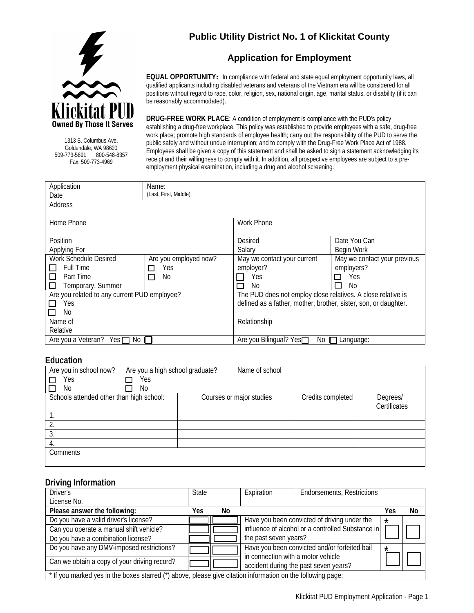# **Public Utility District No. 1 of Klickitat County**

**Application for Employment**



1313 S. Columbus Ave. Goldendale, WA 98620 509-773-5891 800-548-8357 Fax: 509-773-4969

**EQUAL OPPORTUNITY:** In compliance with federal and state equal employment opportunity laws, all qualified applicants including disabled veterans and veterans of the Vietnam era will be considered for all positions without regard to race, color, religion, sex, national origin, age, marital status, or disability (if it can be reasonably accommodated).

**DRUG-FREE WORK PLACE**: A condition of employment is compliance with the PUD's policy establishing a drug-free workplace. This policy was established to provide employees with a safe, drug-free work place; promote high standards of employee health; carry out the responsibility of the PUD to serve the public safely and without undue interruption; and to comply with the Drug-Free Work Place Act of 1988. Employees shall be given a copy of this statement and shall be asked to sign a statement acknowledging its receipt and their willingness to comply with it. In addition, all prospective employees are subject to a preemployment physical examination, including a drug and alcohol screening.

Application Date Name: (Last, First, Middle) Address Home Phone North Phone News Assembly Work Phone **Position** Applying For Desired Salary Date You Can Begin Work Work Schedule Desired  $\Box$  Full Time  $\Pi$  Part Time  $\Box$  Temporary, Summer Are you employed now? □ Yes  $\Box$  No May we contact your current employer?  $\Box$  Yes<br> $\Box$  No No May we contact your previous employers? □ Yes  $\Box$  No Are you related to any current PUD employee? □ Yes  $\Box$  No The PUD does not employ close relatives. A close relative is defined as a father, mother, brother, sister, son, or daughter. Name of Relative Relationship Are you a Veteran? Yes  $\Box$  No  $\Box$ 

#### **Education**

| Are you in school now?<br>Are you a high school graduate? | Name of school           |                   |              |
|-----------------------------------------------------------|--------------------------|-------------------|--------------|
| Yes<br>Yes                                                |                          |                   |              |
| No<br>No                                                  |                          |                   |              |
| Schools attended other than high school:                  | Courses or major studies | Credits completed | Degrees/     |
|                                                           |                          |                   | Certificates |
|                                                           |                          |                   |              |
|                                                           |                          |                   |              |
| 3.                                                        |                          |                   |              |
| 4.                                                        |                          |                   |              |
| Comments                                                  |                          |                   |              |
|                                                           |                          |                   |              |

#### **Driving Information**

| Driver's                                                                                                    | <b>State</b> |    | Expiration                                        | <b>Endorsements, Restrictions</b>             |         |    |
|-------------------------------------------------------------------------------------------------------------|--------------|----|---------------------------------------------------|-----------------------------------------------|---------|----|
| License No.                                                                                                 |              |    |                                                   |                                               |         |    |
| Please answer the following:                                                                                | Yes.         | No |                                                   |                                               | Yes     | No |
| Do you have a valid driver's license?                                                                       |              |    |                                                   | Have you been convicted of driving under the  | $\star$ |    |
| Can you operate a manual shift vehicle?                                                                     |              |    | influence of alcohol or a controlled Substance in |                                               |         |    |
| Do you have a combination license?                                                                          |              |    | the past seven years?                             |                                               |         |    |
| Do you have any DMV-imposed restrictions?                                                                   |              |    |                                                   | Have you been convicted and/or forfeited bail | $\star$ |    |
|                                                                                                             |              |    | in connection with a motor vehicle                |                                               |         |    |
| Can we obtain a copy of your driving record?                                                                |              |    |                                                   | accident during the past seven years?         |         |    |
| * If you marked yes in the boxes starred (*) above, please give citation information on the following page: |              |    |                                                   |                                               |         |    |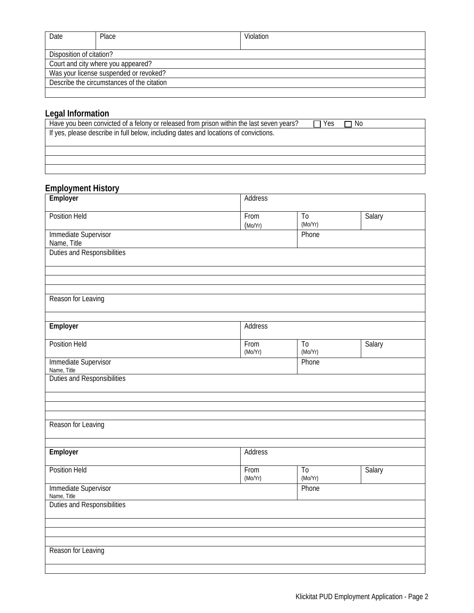| Date                                       | Place | Violation |  |
|--------------------------------------------|-------|-----------|--|
|                                            |       |           |  |
| Disposition of citation?                   |       |           |  |
| Court and city where you appeared?         |       |           |  |
| Was your license suspended or revoked?     |       |           |  |
| Describe the circumstances of the citation |       |           |  |
|                                            |       |           |  |

# **Legal Information**

| Yes. | No. |  |
|------|-----|--|
|      |     |  |
|      |     |  |
|      |     |  |
|      |     |  |
|      |     |  |

## **Employment History**

| Employer                                   | Address         |                            |               |
|--------------------------------------------|-----------------|----------------------------|---------------|
| Position Held                              | From<br>(Mo/Yr) | $\overline{10}$<br>(Mo/Yr) | <b>Salary</b> |
| <b>Immediate Supervisor</b><br>Name, Title |                 | Phone                      |               |
| Duties and Responsibilities                |                 |                            |               |
|                                            |                 |                            |               |
| Reason for Leaving                         |                 |                            |               |
| Employer                                   | <b>Address</b>  |                            |               |
| <b>Position Held</b>                       | From<br>(Mo/Yr) | $\overline{10}$<br>(Mo/Yr) | Salary        |
| Immediate Supervisor<br>Name, Title        |                 | Phone                      |               |
| Duties and Responsibilities                |                 |                            |               |
|                                            |                 |                            |               |
| Reason for Leaving                         |                 |                            |               |
| Employer                                   | <b>Address</b>  |                            |               |
| <b>Position Held</b>                       | From<br>(Mo/Yr) | T <sub>0</sub><br>(Mo/Yr)  | Salary        |
| <b>Immediate Supervisor</b><br>Name, Title |                 | Phone                      |               |
| Duties and Responsibilities                |                 |                            |               |
|                                            |                 |                            |               |
| Reason for Leaving                         |                 |                            |               |
|                                            |                 |                            |               |